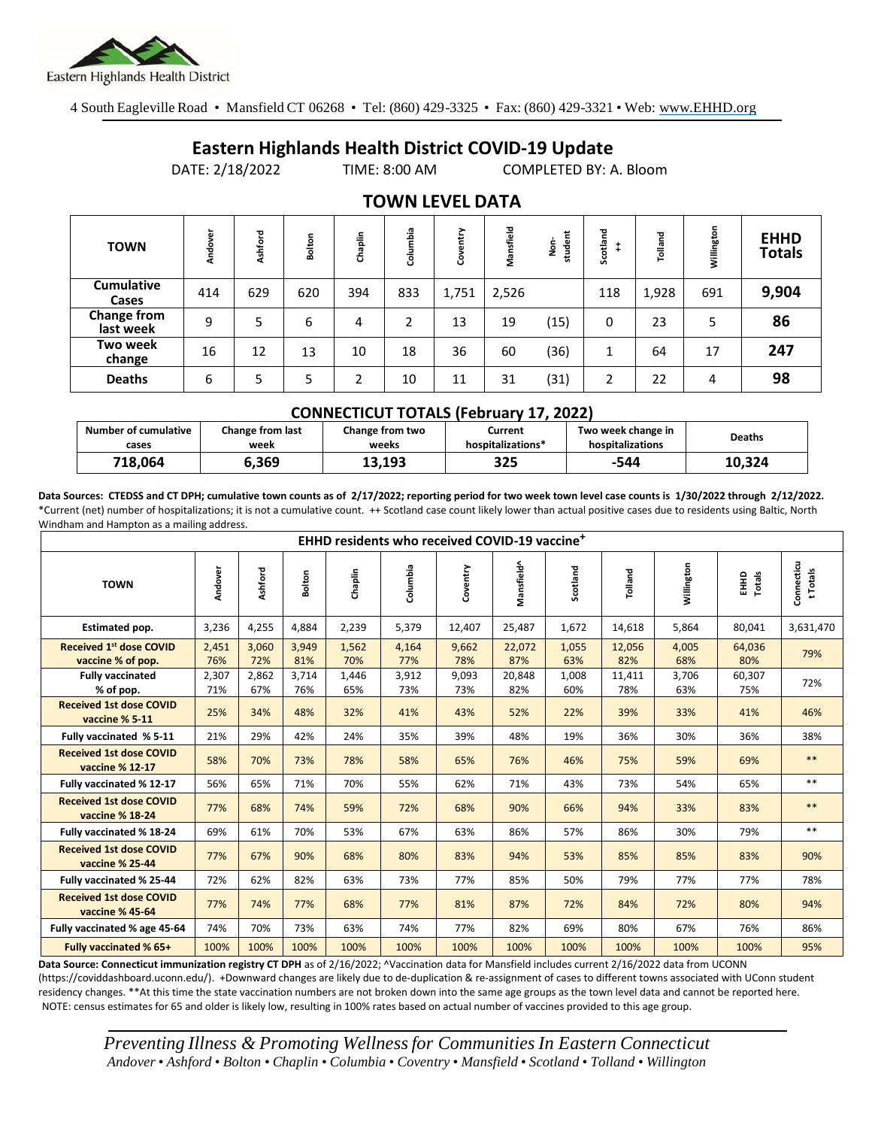

4 South Eagleville Road • Mansfield CT 06268 • Tel: (860) 429-3325 • Fax: (860) 429-3321 • Web: www.EHHD.org

## **Eastern Highlands Health District COVID-19 Update**

DATE: 2/18/2022 TIME: 8:00 AM COMPLETED BY: A. Bloom

| <b>TOWN</b>                     | Andover | shford<br>ď | Bolton | Chaplin | Columbia | ntry<br>Š | Mansfield | student<br>å | Scotland    | Tolland | Willington | <b>EHHD</b><br><b>Totals</b> |
|---------------------------------|---------|-------------|--------|---------|----------|-----------|-----------|--------------|-------------|---------|------------|------------------------------|
| <b>Cumulative</b><br>Cases      | 414     | 629         | 620    | 394     | 833      | 1,751     | 2,526     |              | 118         | 1,928   | 691        | 9,904                        |
| <b>Change from</b><br>last week | 9       | 5           | 6      | 4       | 2        | 13        | 19        | (15)         | 0           | 23      | 5          | 86                           |
| Two week<br>change              | 16      | 12          | 13     | 10      | 18       | 36        | 60        | (36)         | $\mathbf 1$ | 64      | 17         | 247                          |
| <b>Deaths</b>                   | 6       | 5           | 5      | ำ       | 10       | 11        | 31        | (31)         | 2           | 22      | 4          | 98                           |

## **TOWN LEVEL DATA**

| <b>CONNECTICUT TOTALS (February 17, 2022)</b> |                                 |                          |                              |                                        |               |  |  |  |  |  |
|-----------------------------------------------|---------------------------------|--------------------------|------------------------------|----------------------------------------|---------------|--|--|--|--|--|
| <b>Number of cumulative</b><br>cases          | <b>Change from last</b><br>week | Change from two<br>weeks | Current<br>hospitalizations* | Two week change in<br>hospitalizations | <b>Deaths</b> |  |  |  |  |  |
| 718.064                                       | 6.369                           | 13,193                   | 325                          | -544                                   | 10,324        |  |  |  |  |  |

**Data Sources: CTEDSS and CT DPH; cumulative town counts as of 2/17/2022; reporting period for two week town level case counts is 1/30/2022 through 2/12/2022.** \*Current (net) number of hospitalizations; it is not a cumulative count. ++ Scotland case count likely lower than actual positive cases due to residents using Baltic, North Windham and Hampton as a mailing address.

| EHHD residents who received COVID-19 vaccine <sup>+</sup> |              |              |              |              |              |              |               |              |               |              |               |                        |
|-----------------------------------------------------------|--------------|--------------|--------------|--------------|--------------|--------------|---------------|--------------|---------------|--------------|---------------|------------------------|
| <b>TOWN</b>                                               | Andover      | Ashford      | Bolton       | Chaplin      | Columbia     | Coventry     | Mansfield^    | Scotland     | Tolland       | Willington   | Totals<br>웊   | Connecticu<br>t Totals |
| Estimated pop.                                            | 3,236        | 4,255        | 4,884        | 2,239        | 5,379        | 12,407       | 25,487        | 1,672        | 14,618        | 5,864        | 80,041        | 3,631,470              |
| <b>Received 1st dose COVID</b><br>vaccine % of pop.       | 2,451<br>76% | 3,060<br>72% | 3,949<br>81% | 1,562<br>70% | 4,164<br>77% | 9.662<br>78% | 22,072<br>87% | 1,055<br>63% | 12,056<br>82% | 4,005<br>68% | 64,036<br>80% | 79%                    |
| <b>Fully vaccinated</b><br>% of pop.                      | 2,307<br>71% | 2,862<br>67% | 3.714<br>76% | 1,446<br>65% | 3,912<br>73% | 9.093<br>73% | 20,848<br>82% | 1.008<br>60% | 11,411<br>78% | 3.706<br>63% | 60,307<br>75% | 72%                    |
| <b>Received 1st dose COVID</b><br>vaccine % 5-11          | 25%          | 34%          | 48%          | 32%          | 41%          | 43%          | 52%           | 22%          | 39%           | 33%          | 41%           | 46%                    |
| Fully vaccinated % 5-11                                   | 21%          | 29%          | 42%          | 24%          | 35%          | 39%          | 48%           | 19%          | 36%           | 30%          | 36%           | 38%                    |
| <b>Received 1st dose COVID</b><br>vaccine % 12-17         | 58%          | 70%          | 73%          | 78%          | 58%          | 65%          | 76%           | 46%          | 75%           | 59%          | 69%           | $**$                   |
| Fully vaccinated % 12-17                                  | 56%          | 65%          | 71%          | 70%          | 55%          | 62%          | 71%           | 43%          | 73%           | 54%          | 65%           | $**$                   |
| <b>Received 1st dose COVID</b><br>vaccine % 18-24         | 77%          | 68%          | 74%          | 59%          | 72%          | 68%          | 90%           | 66%          | 94%           | 33%          | 83%           | $**$                   |
| Fully vaccinated % 18-24                                  | 69%          | 61%          | 70%          | 53%          | 67%          | 63%          | 86%           | 57%          | 86%           | 30%          | 79%           | $***$                  |
| <b>Received 1st dose COVID</b><br>vaccine % 25-44         | 77%          | 67%          | 90%          | 68%          | 80%          | 83%          | 94%           | 53%          | 85%           | 85%          | 83%           | 90%                    |
| Fully vaccinated % 25-44                                  | 72%          | 62%          | 82%          | 63%          | 73%          | 77%          | 85%           | 50%          | 79%           | 77%          | 77%           | 78%                    |
| <b>Received 1st dose COVID</b><br>vaccine % 45-64         | 77%          | 74%          | 77%          | 68%          | 77%          | 81%          | 87%           | 72%          | 84%           | 72%          | 80%           | 94%                    |
| Fully vaccinated % age 45-64                              | 74%          | 70%          | 73%          | 63%          | 74%          | 77%          | 82%           | 69%          | 80%           | 67%          | 76%           | 86%                    |
| Fully vaccinated % 65+                                    | 100%         | 100%         | 100%         | 100%         | 100%         | 100%         | 100%          | 100%         | 100%          | 100%         | 100%          | 95%                    |

Data Source: Connecticut immunization registry CT DPH as of 2/16/2022; ^Vaccination data for Mansfield includes current 2/16/2022 data from UCONN (https://coviddashboard.uconn.edu/). +Downward changes are likely due to de-duplication & re-assignment of cases to different towns associated with UConn student residency changes. \*\*At this time the state vaccination numbers are not broken down into the same age groups as the town level data and cannot be reported here. NOTE: census estimates for 65 and older is likely low, resulting in 100% rates based on actual number of vaccines provided to this age group.

*Preventing Illness & Promoting Wellnessfor Communities In Eastern Connecticut* Andover • Ashford • Bolton • Chaplin • Columbia • Coventry • Mansfield • Scotland • Tolland • Willington